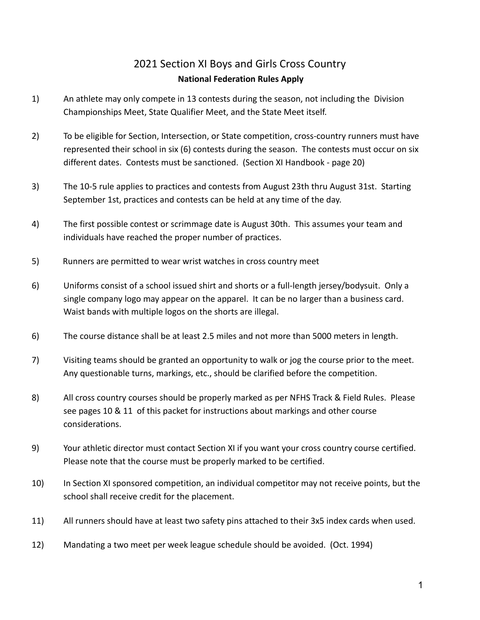## 2021 Section XI Boys and Girls Cross Country **National Federation Rules Apply**

- 1) An athlete may only compete in 13 contests during the season, not including the Division Championships Meet, State Qualifier Meet, and the State Meet itself.
- 2) To be eligible for Section, Intersection, or State competition, cross-country runners must have represented their school in six (6) contests during the season. The contests must occur on six different dates. Contests must be sanctioned. (Section XI Handbook - page 20)
- 3) The 10-5 rule applies to practices and contests from August 23th thru August 31st. Starting September 1st, practices and contests can be held at any time of the day.
- 4) The first possible contest or scrimmage date is August 30th. This assumes your team and individuals have reached the proper number of practices.
- 5) Runners are permitted to wear wrist watches in cross country meet
- 6) Uniforms consist of a school issued shirt and shorts or a full-length jersey/bodysuit. Only a single company logo may appear on the apparel. It can be no larger than a business card. Waist bands with multiple logos on the shorts are illegal.
- 6) The course distance shall be at least 2.5 miles and not more than 5000 meters in length.
- 7) Visiting teams should be granted an opportunity to walk or jog the course prior to the meet. Any questionable turns, markings, etc., should be clarified before the competition.
- 8) All cross country courses should be properly marked as per NFHS Track & Field Rules. Please see pages 10 & 11 of this packet for instructions about markings and other course considerations.
- 9) Your athletic director must contact Section XI if you want your cross country course certified. Please note that the course must be properly marked to be certified.
- 10) In Section XI sponsored competition, an individual competitor may not receive points, but the school shall receive credit for the placement.
- 11) All runners should have at least two safety pins attached to their 3x5 index cards when used.
- 12) Mandating a two meet per week league schedule should be avoided. (Oct. 1994)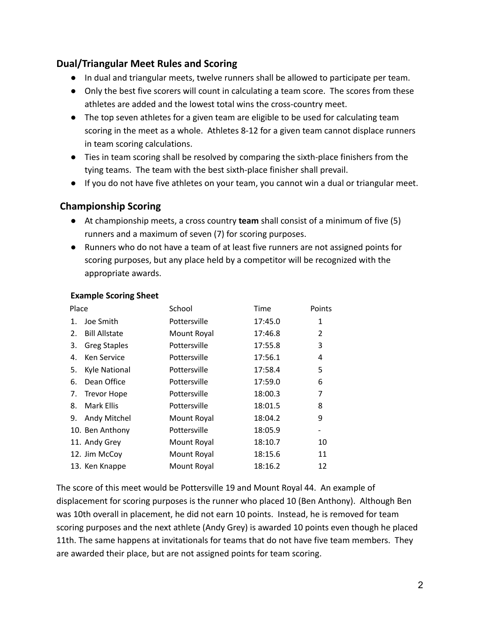### **Dual/Triangular Meet Rules and Scoring**

- In dual and triangular meets, twelve runners shall be allowed to participate per team.
- Only the best five scorers will count in calculating a team score. The scores from these athletes are added and the lowest total wins the cross-country meet.
- The top seven athletes for a given team are eligible to be used for calculating team scoring in the meet as a whole. Athletes 8-12 for a given team cannot displace runners in team scoring calculations.
- Ties in team scoring shall be resolved by comparing the sixth-place finishers from the tying teams. The team with the best sixth-place finisher shall prevail.
- If you do not have five athletes on your team, you cannot win a dual or triangular meet.

#### **Championship Scoring**

- At championship meets, a cross country **team** shall consist of a minimum of five (5) runners and a maximum of seven (7) for scoring purposes.
- Runners who do not have a team of at least five runners are not assigned points for scoring purposes, but any place held by a competitor will be recognized with the appropriate awards.

| Place |                      | School       | Time    | Points |
|-------|----------------------|--------------|---------|--------|
| 1.    | Joe Smith            | Pottersville | 17:45.0 | 1      |
| 2.    | <b>Bill Allstate</b> | Mount Royal  | 17:46.8 | 2      |
| 3.    | <b>Greg Staples</b>  | Pottersville | 17:55.8 | 3      |
| 4.    | Ken Service          | Pottersville | 17:56.1 | 4      |
| 5.    | <b>Kyle National</b> | Pottersville | 17:58.4 | 5      |
| 6.    | Dean Office          | Pottersville | 17:59.0 | 6      |
| 7.    | <b>Trevor Hope</b>   | Pottersville | 18:00.3 | 7      |
| 8.    | Mark Ellis           | Pottersville | 18:01.5 | 8      |
| 9.    | Andy Mitchel         | Mount Royal  | 18:04.2 | 9      |
|       | 10. Ben Anthony      | Pottersville | 18:05.9 |        |
|       | 11. Andy Grey        | Mount Royal  | 18:10.7 | 10     |
|       | 12. Jim McCoy        | Mount Royal  | 18:15.6 | 11     |
|       | 13. Ken Knappe       | Mount Royal  | 18:16.2 | 12     |

#### **Example Scoring Sheet**

The score of this meet would be Pottersville 19 and Mount Royal 44. An example of displacement for scoring purposes is the runner who placed 10 (Ben Anthony). Although Ben was 10th overall in placement, he did not earn 10 points. Instead, he is removed for team scoring purposes and the next athlete (Andy Grey) is awarded 10 points even though he placed 11th. The same happens at invitationals for teams that do not have five team members. They are awarded their place, but are not assigned points for team scoring.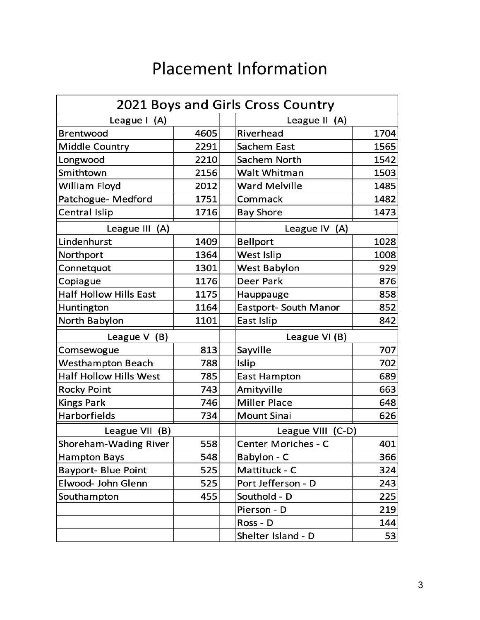# Placement Information

|                               |      | 2021 Boys and Girls Cross Country |      |  |
|-------------------------------|------|-----------------------------------|------|--|
| League I (A)                  |      | League II (A)                     |      |  |
| <b>Brentwood</b>              | 4605 | Riverhead                         | 1704 |  |
| <b>Middle Country</b>         | 2291 | Sachem East                       | 1565 |  |
| Longwood                      | 2210 | Sachem North                      | 1542 |  |
| Smithtown                     | 2156 | <b>Walt Whitman</b>               | 1503 |  |
| William Floyd                 | 2012 | <b>Ward Melville</b>              | 1485 |  |
| Patchogue- Medford            | 1751 | Commack                           | 1482 |  |
| Central Islip                 | 1716 | <b>Bay Shore</b>                  | 1473 |  |
| League III (A)                |      | League IV (A)                     |      |  |
| Lindenhurst                   | 1409 | <b>Bellport</b>                   | 1028 |  |
| Northport                     | 1364 | West Islip                        | 1008 |  |
| Connetquot                    | 1301 | West Babylon                      | 929  |  |
| Copiague                      | 1176 | Deer Park                         | 876  |  |
| <b>Half Hollow Hills East</b> | 1175 | Hauppauge                         | 858  |  |
| Huntington                    | 1164 | <b>Eastport- South Manor</b>      | 852  |  |
| North Babylon                 | 1101 | East Islip                        | 842  |  |
| League $V$ (B)                |      | League VI (B)                     |      |  |
| Comsewogue                    | 813  | Sayville                          | 707  |  |
| <b>Westhampton Beach</b>      | 788  | Islip                             | 702  |  |
| <b>Half Hollow Hills West</b> | 785  | <b>East Hampton</b>               | 689  |  |
| <b>Rocky Point</b>            | 743  | Amityville                        | 663  |  |
| <b>Kings Park</b>             | 746  | <b>Miller Place</b>               | 648  |  |
| Harborfields                  | 734  | <b>Mount Sinai</b>                | 626  |  |
| League VII (B)                |      | League VIII (C-D)                 |      |  |
| Shoreham-Wading River         | 558  | <b>Center Moriches - C</b>        | 401  |  |
| Hampton Bays                  | 548  | Babylon - C                       | 366  |  |
| <b>Bayport- Blue Point</b>    | 525  | Mattituck - C                     | 324  |  |
| Elwood- John Glenn            | 525  | Port Jefferson - D                | 243  |  |
| Southampton                   | 455  | Southold - D                      | 225  |  |
|                               |      | Pierson - D                       | 219  |  |
|                               |      | Ross - D                          | 144  |  |
|                               |      | Shelter Island - D                | 53   |  |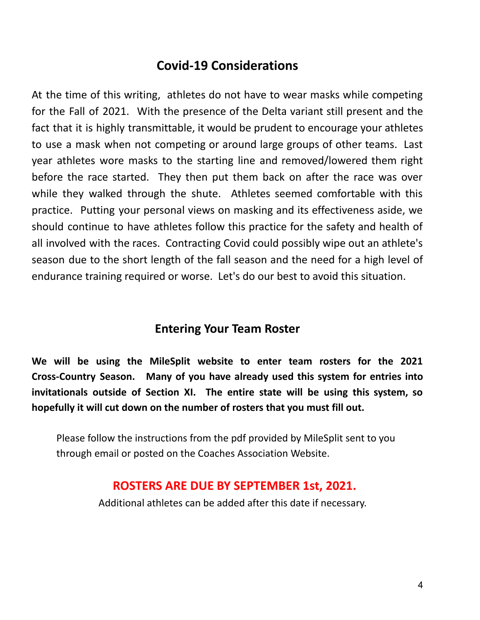## **Covid-19 Considerations**

At the time of this writing, athletes do not have to wear masks while competing for the Fall of 2021. With the presence of the Delta variant still present and the fact that it is highly transmittable, it would be prudent to encourage your athletes to use a mask when not competing or around large groups of other teams. Last year athletes wore masks to the starting line and removed/lowered them right before the race started. They then put them back on after the race was over while they walked through the shute. Athletes seemed comfortable with this practice. Putting your personal views on masking and its effectiveness aside, we should continue to have athletes follow this practice for the safety and health of all involved with the races. Contracting Covid could possibly wipe out an athlete's season due to the short length of the fall season and the need for a high level of endurance training required or worse. Let's do our best to avoid this situation.

## **Entering Your Team Roster**

**We will be using the MileSplit website to enter team rosters for the 2021 Cross-Country Season. Many of you have already used this system for entries into invitationals outside of Section XI. The entire state will be using this system, so hopefully it will cut down on the number of rosters that you must fill out.**

Please follow the instructions from the pdf provided by MileSplit sent to you through email or posted on the Coaches Association Website.

## **ROSTERS ARE DUE BY SEPTEMBER 1st, 2021.**

Additional athletes can be added after this date if necessary.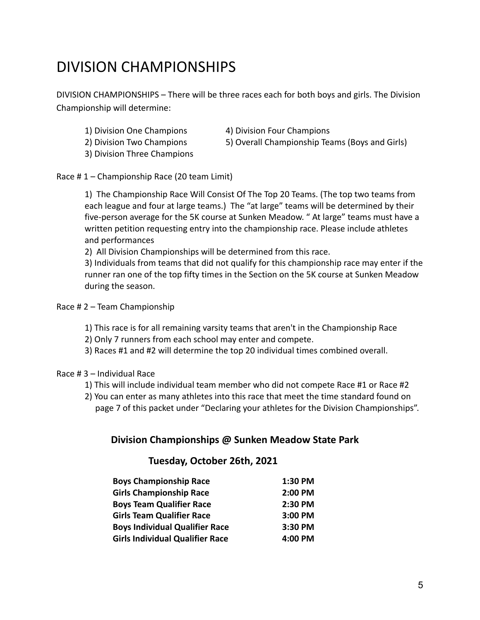# DIVISION CHAMPIONSHIPS

DIVISION CHAMPIONSHIPS – There will be three races each for both boys and girls. The Division Championship will determine:

- 
- 1) Division One Champions 4) Division Four Champions
- -
- 3) Division Three Champions
- 2) Division Two Champions 5) Overall Championship Teams (Boys and Girls)

Race # 1 – Championship Race (20 team Limit)

1) The Championship Race Will Consist Of The Top 20 Teams. (The top two teams from each league and four at large teams.) The "at large" teams will be determined by their five-person average for the 5K course at Sunken Meadow. " At large" teams must have a written petition requesting entry into the championship race. Please include athletes and performances

2) All Division Championships will be determined from this race.

3) Individuals from teams that did not qualify for this championship race may enter if the runner ran one of the top fifty times in the Section on the 5K course at Sunken Meadow during the season.

Race # 2 – Team Championship

- 1) This race is for all remaining varsity teams that aren't in the Championship Race
- 2) Only 7 runners from each school may enter and compete.
- 3) Races #1 and #2 will determine the top 20 individual times combined overall.

#### Race # 3 – Individual Race

- 1) This will include individual team member who did not compete Race #1 or Race #2
- 2) You can enter as many athletes into this race that meet the time standard found on page 7 of this packet under "Declaring your athletes for the Division Championships".

#### **Division Championships @ Sunken Meadow State Park**

#### **Tuesday, October 26th, 2021**

| <b>Boys Championship Race</b>          | 1:30 PM |
|----------------------------------------|---------|
| <b>Girls Championship Race</b>         | 2:00 PM |
| <b>Boys Team Qualifier Race</b>        | 2:30 PM |
| <b>Girls Team Qualifier Race</b>       | 3:00 PM |
| <b>Boys Individual Qualifier Race</b>  | 3:30 PM |
| <b>Girls Individual Qualifier Race</b> | 4:00 PM |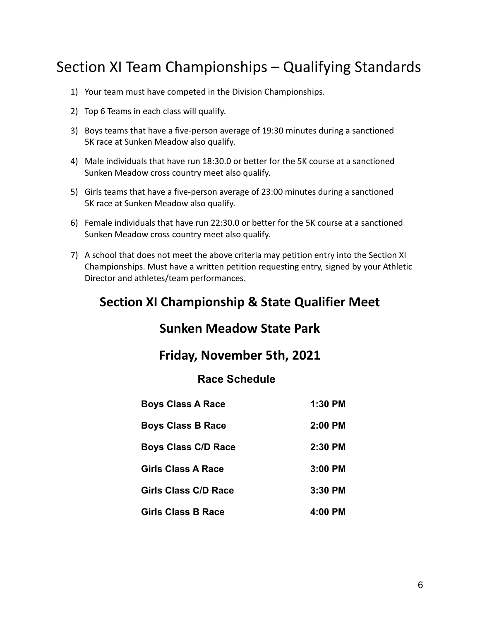# Section XI Team Championships – Qualifying Standards

- 1) Your team must have competed in the Division Championships.
- 2) Top 6 Teams in each class will qualify.
- 3) Boys teams that have a five-person average of 19:30 minutes during a sanctioned 5K race at Sunken Meadow also qualify.
- 4) Male individuals that have run 18:30.0 or better for the 5K course at a sanctioned Sunken Meadow cross country meet also qualify.
- 5) Girls teams that have a five-person average of 23:00 minutes during a sanctioned 5K race at Sunken Meadow also qualify.
- 6) Female individuals that have run 22:30.0 or better for the 5K course at a sanctioned Sunken Meadow cross country meet also qualify.
- 7) A school that does not meet the above criteria may petition entry into the Section XI Championships. Must have a written petition requesting entry, signed by your Athletic Director and athletes/team performances.

## **Section XI Championship & State Qualifier Meet**

## **Sunken Meadow State Park**

### **Friday, November 5th, 2021**

### **Race Schedule**

| <b>Boys Class A Race</b>   | 1:30 PM |
|----------------------------|---------|
| <b>Boys Class B Race</b>   | 2:00 PM |
| <b>Boys Class C/D Race</b> | 2:30 PM |
| Girls Class A Race         | 3:00 PM |
| Girls Class C/D Race       | 3:30 PM |
| <b>Girls Class B Race</b>  | 4:00 PM |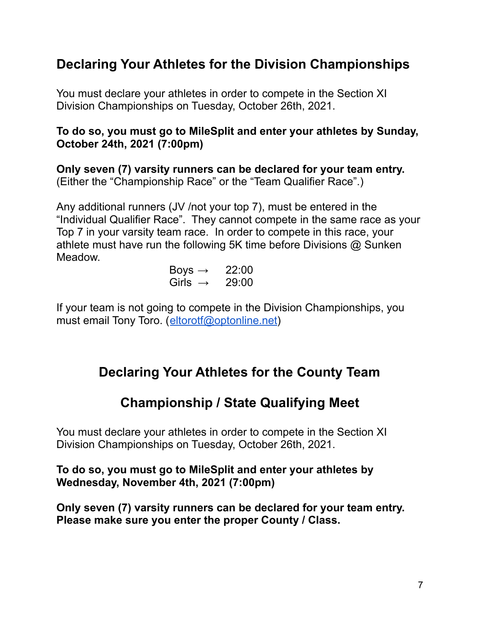## **Declaring Your Athletes for the Division Championships**

You must declare your athletes in order to compete in the Section XI Division Championships on Tuesday, October 26th, 2021.

### **To do so, you must go to MileSplit and enter your athletes by Sunday, October 24th, 2021 (7:00pm)**

**Only seven (7) varsity runners can be declared for your team entry.** (Either the "Championship Race" or the "Team Qualifier Race".)

Any additional runners (JV /not your top 7), must be entered in the "Individual Qualifier Race". They cannot compete in the same race as your Top 7 in your varsity team race. In order to compete in this race, your athlete must have run the following 5K time before Divisions @ Sunken Meadow.

> Boys  $\rightarrow$  22:00 Girls  $\rightarrow$  29:00

If your team is not going to compete in the Division Championships, you must email Tony Toro. (eltorotf@optonline.net)

## **Declaring Your Athletes for the County Team**

## **Championship / State Qualifying Meet**

You must declare your athletes in order to compete in the Section XI Division Championships on Tuesday, October 26th, 2021.

**To do so, you must go to MileSplit and enter your athletes by Wednesday, November 4th, 2021 (7:00pm)**

**Only seven (7) varsity runners can be declared for your team entry. Please make sure you enter the proper County / Class.**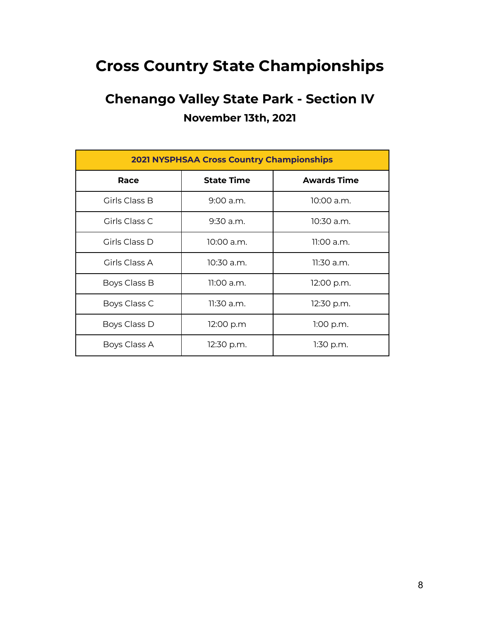# **Cross Country State Championships**

# **Chenango Valley State Park - Section IV November 13th, 2021**

| <b>2021 NYSPHSAA Cross Country Championships</b> |                   |                    |  |
|--------------------------------------------------|-------------------|--------------------|--|
| Race                                             | <b>State Time</b> | <b>Awards Time</b> |  |
| Girls Class B                                    | $9:00$ a.m.       | $10:00$ a.m.       |  |
| Girls Class C                                    | $9:30$ a.m.       | $10:30$ a.m.       |  |
| Girls Class D                                    | 10:00 a.m.        | 11:00 a.m.         |  |
| Girls Class A                                    | 10:30 a.m.        | 11:30 a.m.         |  |
| Boys Class B                                     | 11:00 a.m.        | 12:00 p.m.         |  |
| Boys Class C                                     | $11:30$ a.m.      | 12:30 p.m.         |  |
| Boys Class D                                     | 12:00 p.m         | $1:00$ p.m.        |  |
| Boys Class A                                     | 12:30 p.m.        | $1:30$ p.m.        |  |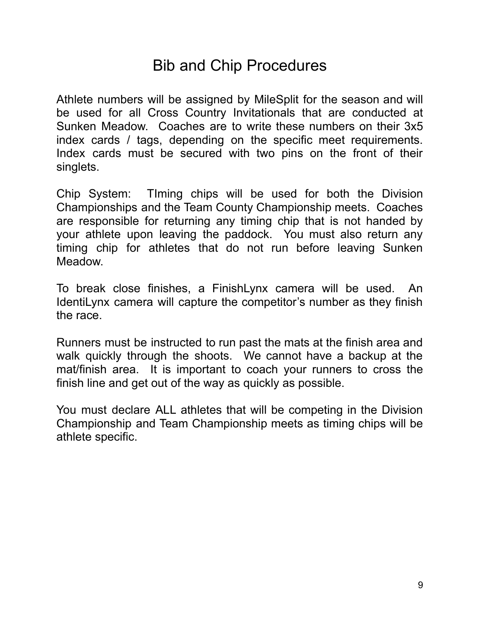# Bib and Chip Procedures

Athlete numbers will be assigned by MileSplit for the season and will be used for all Cross Country Invitationals that are conducted at Sunken Meadow. Coaches are to write these numbers on their 3x5 index cards / tags, depending on the specific meet requirements. Index cards must be secured with two pins on the front of their singlets.

Chip System: TIming chips will be used for both the Division Championships and the Team County Championship meets. Coaches are responsible for returning any timing chip that is not handed by your athlete upon leaving the paddock. You must also return any timing chip for athletes that do not run before leaving Sunken Meadow.

To break close finishes, a FinishLynx camera will be used. An IdentiLynx camera will capture the competitor's number as they finish the race.

Runners must be instructed to run past the mats at the finish area and walk quickly through the shoots. We cannot have a backup at the mat/finish area. It is important to coach your runners to cross the finish line and get out of the way as quickly as possible.

You must declare ALL athletes that will be competing in the Division Championship and Team Championship meets as timing chips will be athlete specific.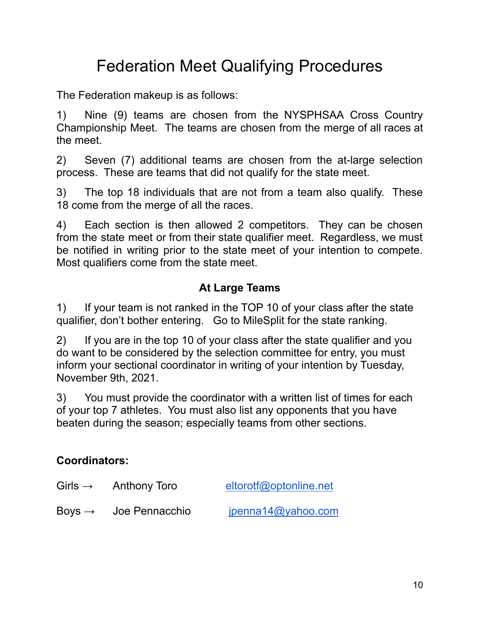# Federation Meet Qualifying Procedures

The Federation makeup is as follows:

1) Nine (9) teams are chosen from the NYSPHSAA Cross Country Championship Meet. The teams are chosen from the merge of all races at the meet.

2) Seven (7) additional teams are chosen from the at-large selection process. These are teams that did not qualify for the state meet.

3) The top 18 individuals that are not from a team also qualify. These 18 come from the merge of all the races.

4) Each section is then allowed 2 competitors. They can be chosen from the state meet or from their state qualifier meet. Regardless, we must be notified in writing prior to the state meet of your intention to compete. Most qualifiers come from the state meet.

## **At Large Teams**

1) If your team is not ranked in the TOP 10 of your class after the state qualifier, don't bother entering. Go to MileSplit for the state ranking.

2) If you are in the top 10 of your class after the state qualifier and you do want to be considered by the selection committee for entry, you must inform your sectional coordinator in writing of your intention by Tuesday, November 9th, 2021.

3) You must provide the coordinator with a written list of times for each of your top 7 athletes. You must also list any opponents that you have beaten during the season; especially teams from other sections.

### **Coordinators:**

| Girls $\rightarrow$ | Anthony Toro   | eltorotf@optonline.net |
|---------------------|----------------|------------------------|
| Boys $\rightarrow$  | Joe Pennacchio | jpenna14@yahoo.com     |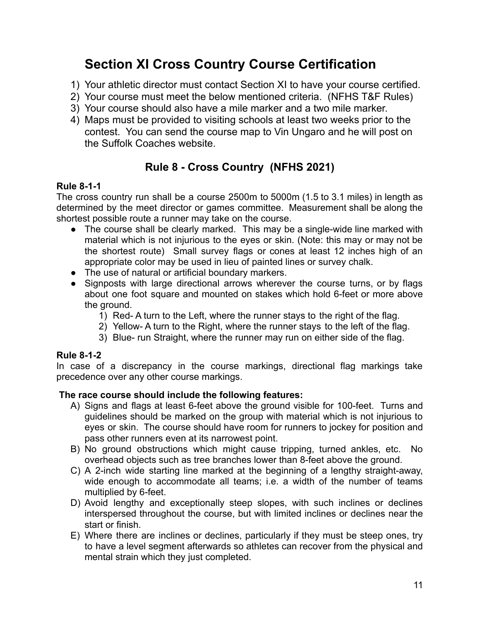## **Section XI Cross Country Course Certification**

- 1) Your athletic director must contact Section XI to have your course certified.
- 2) Your course must meet the below mentioned criteria. (NFHS T&F Rules)
- 3) Your course should also have a mile marker and a two mile marker.
- 4) Maps must be provided to visiting schools at least two weeks prior to the contest. You can send the course map to Vin Ungaro and he will post on the Suffolk Coaches website.

## **Rule 8 - Cross Country (NFHS 2021)**

### **Rule 8-1-1**

The cross country run shall be a course 2500m to 5000m (1.5 to 3.1 miles) in length as determined by the meet director or games committee. Measurement shall be along the shortest possible route a runner may take on the course.

- The course shall be clearly marked. This may be a single-wide line marked with material which is not injurious to the eyes or skin. (Note: this may or may not be the shortest route) Small survey flags or cones at least 12 inches high of an appropriate color may be used in lieu of painted lines or survey chalk.
- The use of natural or artificial boundary markers.
- Signposts with large directional arrows wherever the course turns, or by flags about one foot square and mounted on stakes which hold 6-feet or more above the ground.
	- 1) Red- A turn to the Left, where the runner stays to the right of the flag.
	- 2) Yellow- A turn to the Right, where the runner stays to the left of the flag.
	- 3) Blue- run Straight, where the runner may run on either side of the flag.

### **Rule 8-1-2**

In case of a discrepancy in the course markings, directional flag markings take precedence over any other course markings.

### **The race course should include the following features:**

- A) Signs and flags at least 6-feet above the ground visible for 100-feet. Turns and guidelines should be marked on the group with material which is not injurious to eyes or skin. The course should have room for runners to jockey for position and pass other runners even at its narrowest point.
- B) No ground obstructions which might cause tripping, turned ankles, etc. No overhead objects such as tree branches lower than 8-feet above the ground.
- C) A 2-inch wide starting line marked at the beginning of a lengthy straight-away, wide enough to accommodate all teams; i.e. a width of the number of teams multiplied by 6-feet.
- D) Avoid lengthy and exceptionally steep slopes, with such inclines or declines interspersed throughout the course, but with limited inclines or declines near the start or finish.
- E) Where there are inclines or declines, particularly if they must be steep ones, try to have a level segment afterwards so athletes can recover from the physical and mental strain which they just completed.